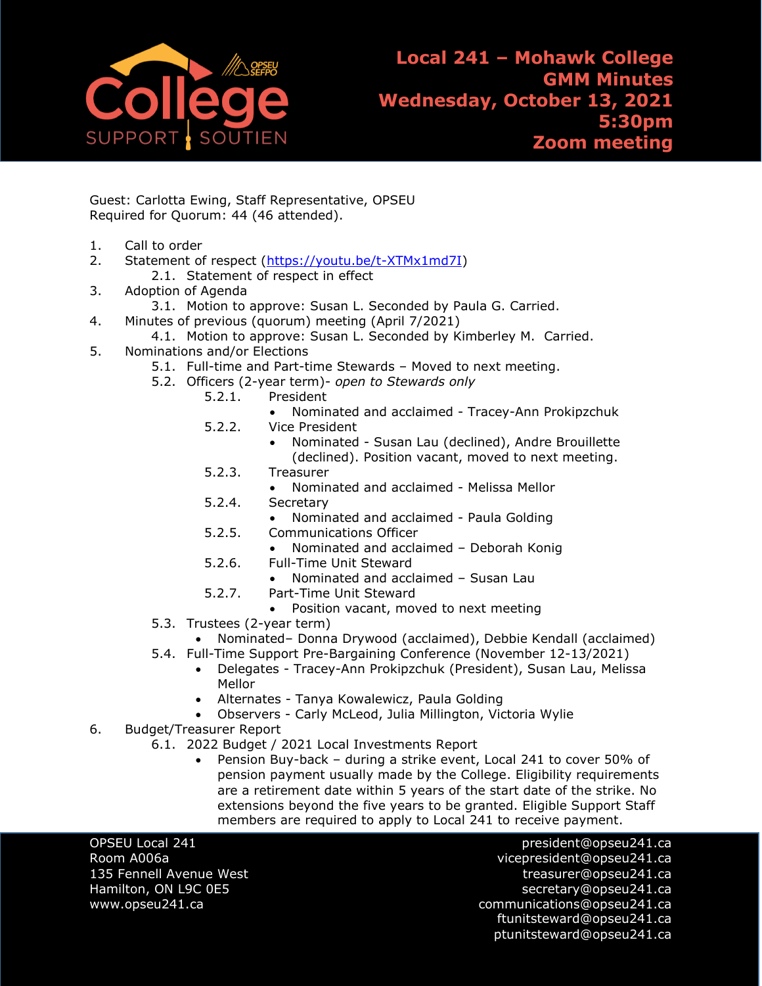

- Guest: Carlotta Ewing, Staff Representative, OPSEU Required for Quorum: 44 (46 attended).
- 1. Call to order
- 2. Statement of respect [\(https://youtu.be/t-XTMx1md7I\)](https://youtu.be/t-XTMx1md7I)
	- 2.1. Statement of respect in effect
- 3. Adoption of Agenda
- 3.1. Motion to approve: Susan L. Seconded by Paula G. Carried.
- 4. Minutes of previous (quorum) meeting (April 7/2021)
	- 4.1. Motion to approve: Susan L. Seconded by Kimberley M. Carried.
- 5. Nominations and/or Elections
	- 5.1. Full-time and Part-time Stewards Moved to next meeting.
	- 5.2. Officers (2-year term)- *open to Stewards only*
		- 5.2.1. President
			- Nominated and acclaimed Tracey-Ann Prokipzchuk
		- 5.2.2. Vice President
			- Nominated Susan Lau (declined), Andre Brouillette (declined). Position vacant, moved to next meeting.
		- 5.2.3. Treasurer
			- Nominated and acclaimed Melissa Mellor
		- 5.2.4. Secretary
			- Nominated and acclaimed Paula Golding
		- 5.2.5. Communications Officer
			- Nominated and acclaimed Deborah Konig
		- 5.2.6. Full-Time Unit Steward
			- Nominated and acclaimed Susan Lau
		- 5.2.7. Part-Time Unit Steward
			- Position vacant, moved to next meeting
	- 5.3. Trustees (2-year term)
		- Nominated– Donna Drywood (acclaimed), Debbie Kendall (acclaimed)
	- 5.4. Full-Time Support Pre-Bargaining Conference (November 12-13/2021)
		- Delegates Tracey-Ann Prokipzchuk (President), Susan Lau, Melissa Mellor
		- Alternates Tanya Kowalewicz, Paula Golding
		- Observers Carly McLeod, Julia Millington, Victoria Wylie
- 6. Budget/Treasurer Report
	- 6.1. 2022 Budget / 2021 Local Investments Report
		- Pension Buy-back during a strike event, Local 241 to cover 50% of pension payment usually made by the College. Eligibility requirements are a retirement date within 5 years of the start date of the strike. No extensions beyond the five years to be granted. Eligible Support Staff members are required to apply to Local 241 to receive payment.

OPSEU Local 241 president@opseu241.ca Room A006a vicepresident@opseu241.ca 135 Fennell Avenue West [treasurer@opseu241.ca](mailto:treasurer@opseu241.ca) Hamilton, ON L9C 0E5 [secretary@opseu241.ca](mailto:secretary@opseu241.ca) www.opseu241.ca example and the communications@opseu241.ca [ftunitsteward@opseu241.ca](mailto:ftunitsteward@opseu241.ca) ptunitsteward@opseu241.ca